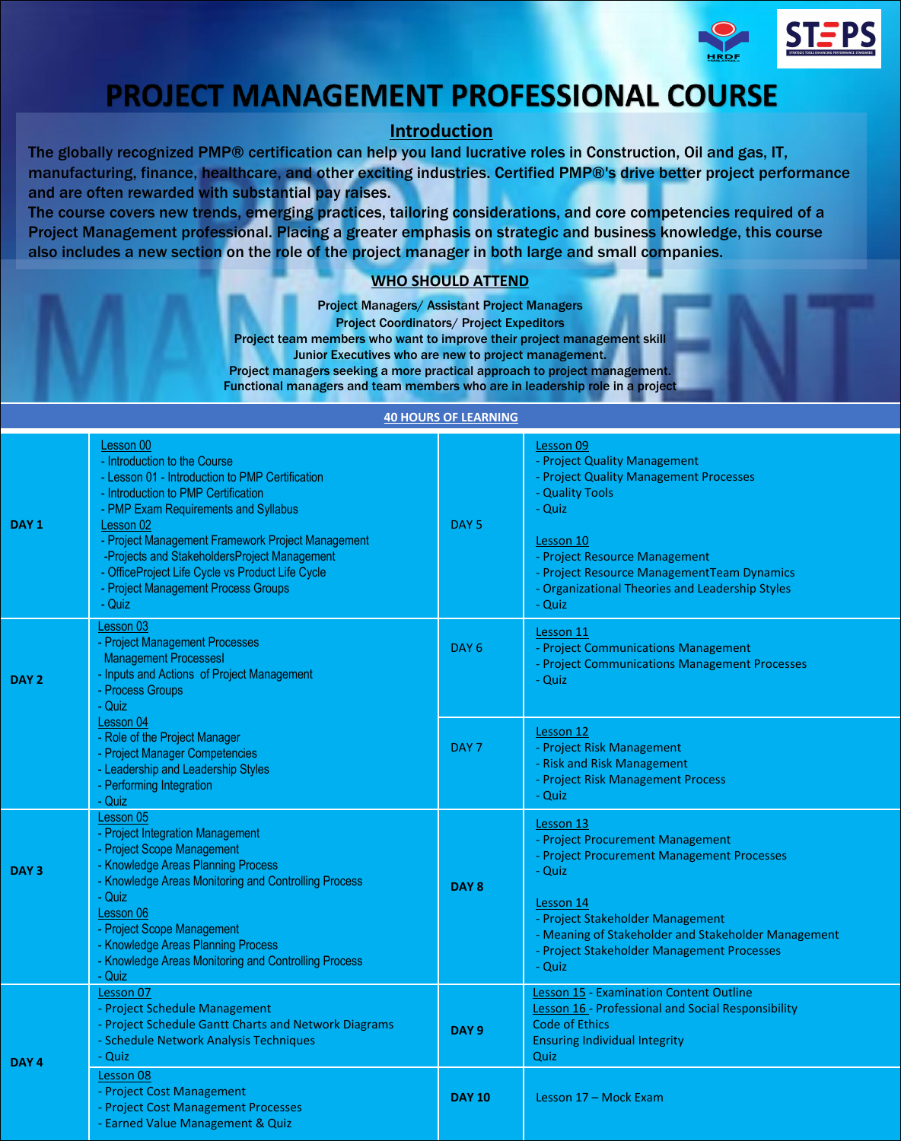

## **PROJECT MANAGEMENT PROFESSIONAL COURSE**

## **Introduction**

The globally recognized PMP® certification can help you land lucrative roles in Construction, Oil and gas, IT, manufacturing, finance, healthcare, and other exciting industries. Certified PMP®'s drive better project performance and are often rewarded with substantial pay raises.

The course covers new trends, emerging practices, tailoring considerations, and core competencies required of a Project Management professional. Placing a greater emphasis on strategic and business knowledge, this course also includes a new section on the role of the project manager in both large and small companies.

## **WHO SHOULD ATTEND**

Project Managers/ Assistant Project Managers Project Coordinators/ Project Expeditors Project team members who want to improve their project management skill Junior Executives who are new to project management. Project managers seeking a more practical approach to project management. Functional managers and team members who are in leadership role in a project

#### **40 HOURS OF LEARNING**

| DAY <sub>1</sub> | Lesson 00<br>- Introduction to the Course<br>- Lesson 01 - Introduction to PMP Certification<br>- Introduction to PMP Certification<br>- PMP Exam Requirements and Syllabus<br>Lesson 02<br>- Project Management Framework Project Management<br>-Projects and StakeholdersProject Management<br>- OfficeProject Life Cycle vs Product Life Cycle<br>- Project Management Process Groups<br>- Quiz | DAY <sub>5</sub> | Lesson 09<br>- Project Quality Management<br>- Project Quality Management Processes<br>- Quality Tools<br>- Quiz<br>Lesson 10<br>- Project Resource Management<br>- Project Resource ManagementTeam Dynamics<br>- Organizational Theories and Leadership Styles<br>- Quiz |
|------------------|----------------------------------------------------------------------------------------------------------------------------------------------------------------------------------------------------------------------------------------------------------------------------------------------------------------------------------------------------------------------------------------------------|------------------|---------------------------------------------------------------------------------------------------------------------------------------------------------------------------------------------------------------------------------------------------------------------------|
| DAY <sub>2</sub> | Lesson 03<br>- Project Management Processes<br><b>Management ProcessesI</b><br>- Inputs and Actions of Project Management<br>- Process Groups<br>- Quiz                                                                                                                                                                                                                                            | DAY <sub>6</sub> | Lesson 11<br>- Project Communications Management<br>- Project Communications Management Processes<br>- Quiz                                                                                                                                                               |
|                  | Lesson 04<br>- Role of the Project Manager<br>- Project Manager Competencies<br>- Leadership and Leadership Styles<br>- Performing Integration<br>- Quiz                                                                                                                                                                                                                                           | DAY <sub>7</sub> | Lesson 12<br>- Project Risk Management<br>- Risk and Risk Management<br>- Project Risk Management Process<br>- Quiz                                                                                                                                                       |
| DAY <sub>3</sub> | Lesson 05<br>- Project Integration Management<br>- Project Scope Management<br>- Knowledge Areas Planning Process<br>- Knowledge Areas Monitoring and Controlling Process<br>- Quiz<br>Lesson 06<br>- Project Scope Management<br>- Knowledge Areas Planning Process<br>- Knowledge Areas Monitoring and Controlling Process<br>- Quiz                                                             | DAY <sub>8</sub> | Lesson 13<br>- Project Procurement Management<br>- Project Procurement Management Processes<br>- Quiz<br>Lesson 14<br>- Project Stakeholder Management<br>- Meaning of Stakeholder and Stakeholder Management<br>- Project Stakeholder Management Processes<br>- Quiz     |
| DAY <sub>4</sub> | Lesson 07<br>- Project Schedule Management<br>- Project Schedule Gantt Charts and Network Diagrams<br>- Schedule Network Analysis Techniques<br>- Quiz                                                                                                                                                                                                                                             | DAY <sub>9</sub> | <b>Lesson 15 - Examination Content Outline</b><br>Lesson 16 - Professional and Social Responsibility<br>Code of Ethics<br><b>Ensuring Individual Integrity</b><br>Quiz                                                                                                    |
|                  | Lesson 08<br>- Project Cost Management<br>- Project Cost Management Processes<br>- Earned Value Management & Quiz                                                                                                                                                                                                                                                                                  | <b>DAY 10</b>    | Lesson 17 - Mock Exam                                                                                                                                                                                                                                                     |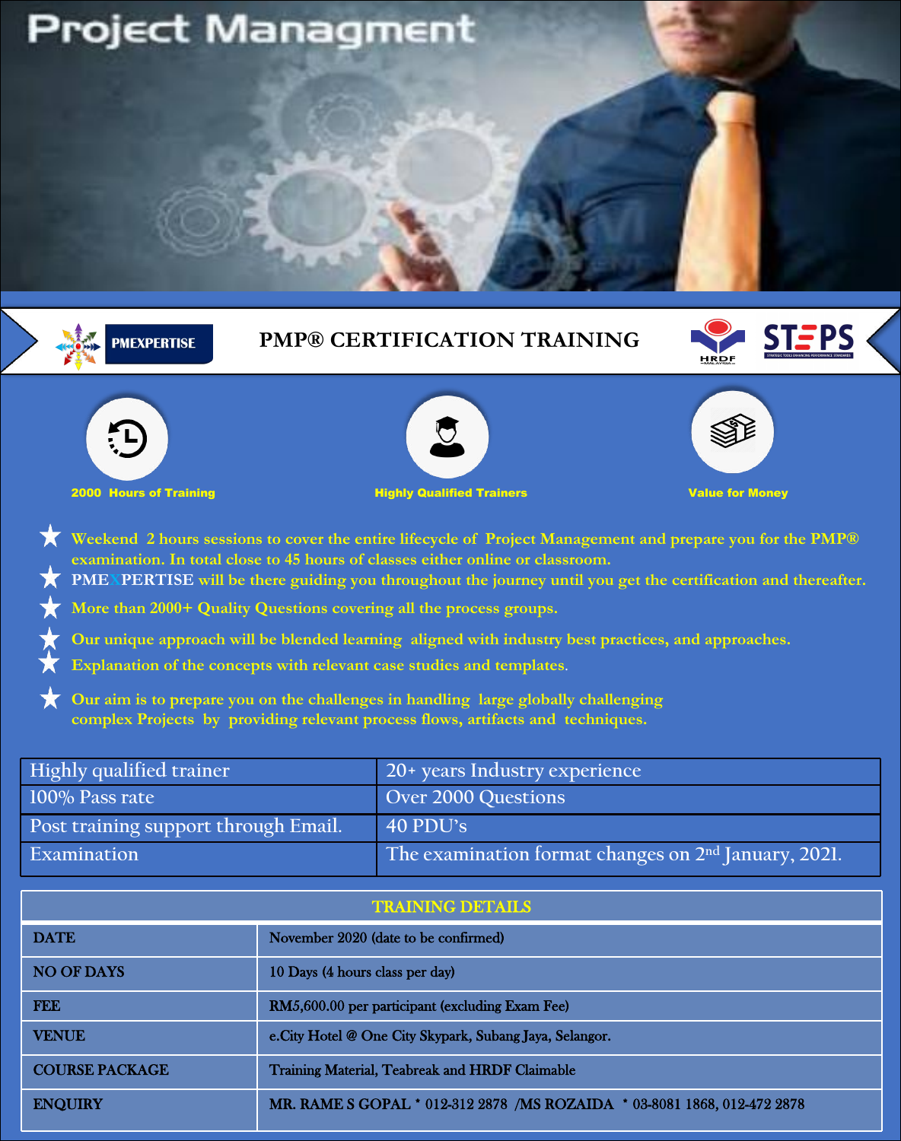# **Project Managment**



| <b>DATE</b>           | November 2020 (date to be confirmed)                                     |
|-----------------------|--------------------------------------------------------------------------|
| <b>NO OF DAYS</b>     | 10 Days (4 hours class per day)                                          |
| <b>FEE</b>            | RM5,600.00 per participant (excluding Exam Fee)                          |
| <b>VENUE</b>          | e.City Hotel @ One City Skypark, Subang Jaya, Selangor.                  |
| <b>COURSE PACKAGE</b> | Training Material, Teabreak and HRDF Claimable                           |
| <b>ENQUIRY</b>        | MR. RAME S GOPAL * 012-312 2878 /MS ROZAIDA * 03-8081 1868, 012-472 2878 |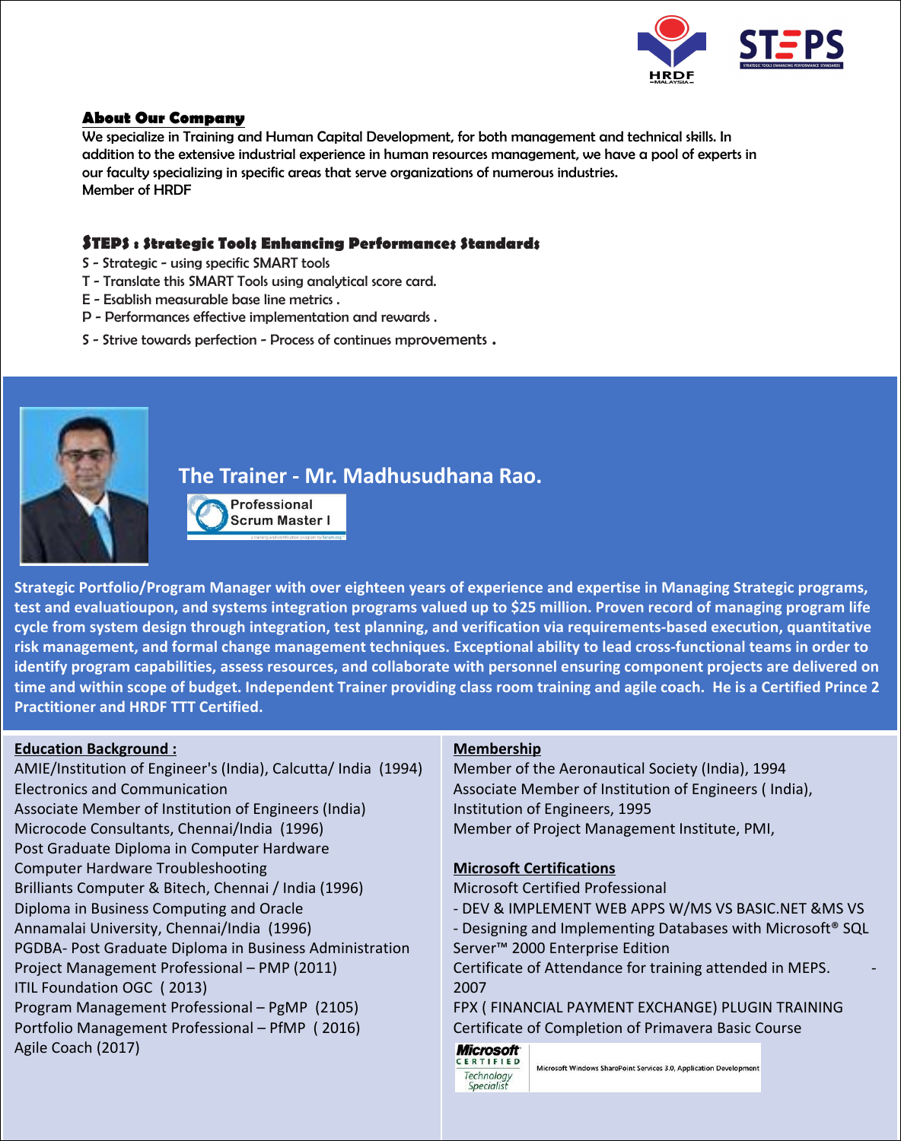

## **About Our Company**

We specialize in Training and Human Capital Development, for both management and technical skills. In addition to the extensive industrial experience in human resources management, we have a pool of experts in our faculty specializing in specific areas that serve organizations of numerous industries. Member of HRDF

#### **STEPS : Strategic Tools Enhancing Performances Standards**

- S Strategic using specific SMART tools
- T Translate this SMART Tools using analytical score card.
- E Esablish measurable base line metrics .
- 
- P Performances effective implementation and rewards .<br>S Strive towards perfection Process of continues mprovements .



## **The Trainer - Mr. Madhusudhana Rao.**

Professional **Scrum Master I** 

Strategic Portfolio/Program Manager with over eighteen years of experience and expertise in Managing Strategic programs, test and evaluatioupon, and systems integration programs valued up to \$25 million. Proven record of managing program life **cycle from system design through integration, test planning, and verification via requirements-based execution, quantitative** risk management, and formal change management techniques. Exceptional ability to lead cross-functional teams in order to identify program capabilities, assess resources, and collaborate with personnel ensuring component projects are delivered on time and within scope of budget. Independent Trainer providing class room training and agile coach. He is a Certified Prince 2 **Practitioner and HRDF TTT Certified.**

#### **Education Background :**

AMIE/Institution of Engineer's (India), Calcutta/ India (1994) Electronics and Communication Associate Member of Institution of Engineers (India) Microcode Consultants, Chennai/India (1996) Post Graduate Diploma in Computer Hardware Computer Hardware Troubleshooting Brilliants Computer & Bitech, Chennai / India (1996) Diploma in Business Computing and Oracle Annamalai University, Chennai/India (1996) PGDBA- Post Graduate Diploma in Business Administration Project Management Professional – PMP (2011) ITIL Foundation OGC ( 2013) Program Management Professional – PgMP (2105) Portfolio Management Professional – PfMP ( 2016) Agile Coach (2017)

### **Membership**

Technology Specialist

Member of the Aeronautical Society (India), 1994 Associate Member of Institution of Engineers ( India), Institution of Engineers, 1995 Member of Project Management Institute, PMI,

#### **Microsoft Certifications**

Microsoft Certified Professional - DEV & IMPLEMENT WEB APPS W/MS VS BASIC.NET &MS VS - Designing and Implementing Databases with Microsoft® SQL Server™ 2000 Enterprise Edition Certificate of Attendance for training attended in MEPS. 2007 FPX ( FINANCIAL PAYMENT EXCHANGE) PLUGIN TRAINING Certificate of Completion of Primavera Basic Course **Microsoft** ERTIFIED

Microsoft Windows SharePoint Services 3.0, Application Development